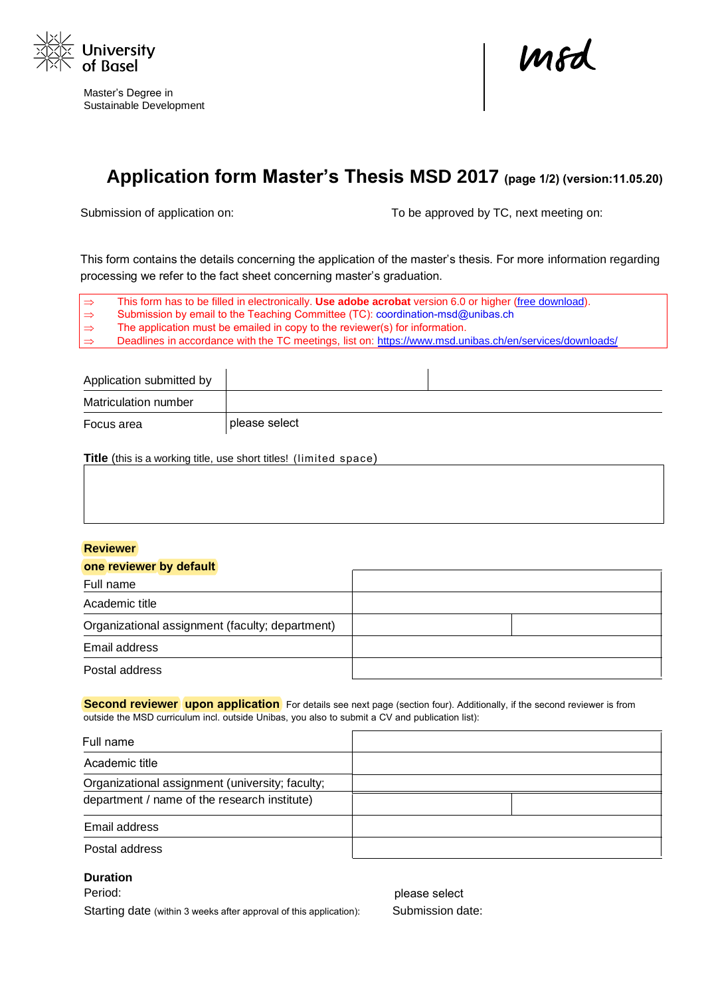

Master's Degree in Sustainable Development

mod

## **Application form Master's Thesis MSD 2017 (page 1/2) (version:11.05.20)**

Submission of application on: To be approved by TC, next meeting on:

This form contains the details concerning the application of the master's thesis. For more information regarding processing we refer to the fact sheet concerning master's graduation.

 $\Rightarrow$  $\Rightarrow$  $\Rightarrow$  $\Rightarrow$ This form has to be filled in electronically. **Use adobe acrobat** version 6.0 or higher [\(free download\)](https://get.adobe.com/de/reader/). Submission by email to the Teaching Committee (TC)[: coordination-msd@unibas.ch](mailto:coordination-msd@unibas.ch) The application must be emailed in copy to the reviewer(s) for [information.](https://www.msd.unibas.ch/en/services/downloads/)  Deadlines in accordance with the TC meetings, list on: https://www.msd.unibas.ch/en/services/downloads/

| Application submitted by |                                                                          |  |
|--------------------------|--------------------------------------------------------------------------|--|
| Matriculation number     |                                                                          |  |
| Focus area               | please select                                                            |  |
|                          | <b>Title</b> (this is a working title, use short titles! (limited space) |  |

## **Reviewer**

| one reviewer by default                         |  |
|-------------------------------------------------|--|
| Full name                                       |  |
| Academic title                                  |  |
| Organizational assignment (faculty; department) |  |
| Email address                                   |  |
| Postal address                                  |  |

**Second reviewer** upon application For details see next page (section four). Additionally, if the second reviewer is from outside the MSD curriculum incl. outside Unibas, you also to submit a CV and publication list):

| Full name                                       |  |
|-------------------------------------------------|--|
| Academic title                                  |  |
| Organizational assignment (university; faculty; |  |
| department / name of the research institute)    |  |
| Email address                                   |  |
| Postal address                                  |  |

## **Duration**

Period:

Starting date (within 3 weeks after approval of this application): Submission date:

please select